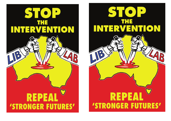